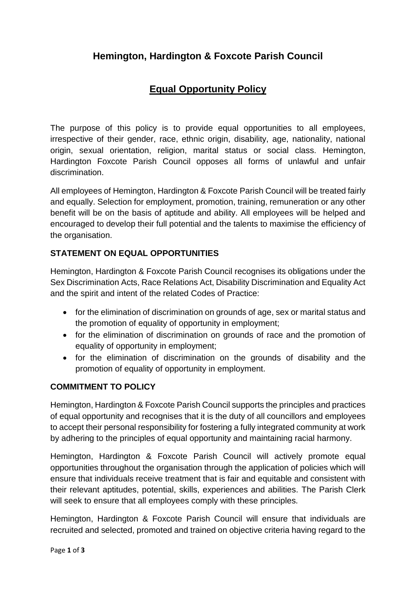# **Hemington, Hardington & Foxcote Parish Council**

# **Equal Opportunity Policy**

The purpose of this policy is to provide equal opportunities to all employees, irrespective of their gender, race, ethnic origin, disability, age, nationality, national origin, sexual orientation, religion, marital status or social class. Hemington, Hardington Foxcote Parish Council opposes all forms of unlawful and unfair discrimination.

All employees of Hemington, Hardington & Foxcote Parish Council will be treated fairly and equally. Selection for employment, promotion, training, remuneration or any other benefit will be on the basis of aptitude and ability. All employees will be helped and encouraged to develop their full potential and the talents to maximise the efficiency of the organisation.

## **STATEMENT ON EQUAL OPPORTUNITIES**

Hemington, Hardington & Foxcote Parish Council recognises its obligations under the Sex Discrimination Acts, Race Relations Act, Disability Discrimination and Equality Act and the spirit and intent of the related Codes of Practice:

- for the elimination of discrimination on grounds of age, sex or marital status and the promotion of equality of opportunity in employment;
- for the elimination of discrimination on grounds of race and the promotion of equality of opportunity in employment;
- for the elimination of discrimination on the grounds of disability and the promotion of equality of opportunity in employment.

### **COMMITMENT TO POLICY**

Hemington, Hardington & Foxcote Parish Council supports the principles and practices of equal opportunity and recognises that it is the duty of all councillors and employees to accept their personal responsibility for fostering a fully integrated community at work by adhering to the principles of equal opportunity and maintaining racial harmony.

Hemington, Hardington & Foxcote Parish Council will actively promote equal opportunities throughout the organisation through the application of policies which will ensure that individuals receive treatment that is fair and equitable and consistent with their relevant aptitudes, potential, skills, experiences and abilities. The Parish Clerk will seek to ensure that all employees comply with these principles.

Hemington, Hardington & Foxcote Parish Council will ensure that individuals are recruited and selected, promoted and trained on objective criteria having regard to the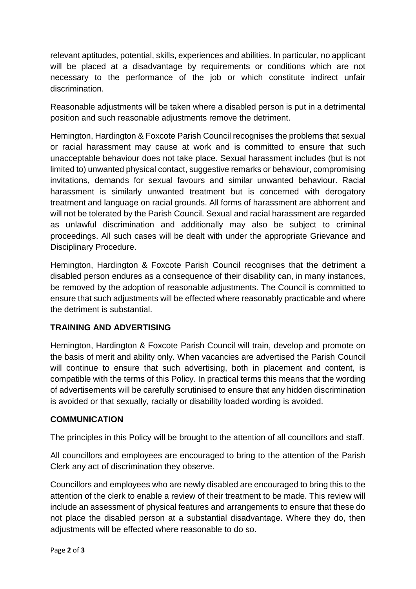relevant aptitudes, potential, skills, experiences and abilities. In particular, no applicant will be placed at a disadvantage by requirements or conditions which are not necessary to the performance of the job or which constitute indirect unfair discrimination.

Reasonable adjustments will be taken where a disabled person is put in a detrimental position and such reasonable adjustments remove the detriment.

Hemington, Hardington & Foxcote Parish Council recognises the problems that sexual or racial harassment may cause at work and is committed to ensure that such unacceptable behaviour does not take place. Sexual harassment includes (but is not limited to) unwanted physical contact, suggestive remarks or behaviour, compromising invitations, demands for sexual favours and similar unwanted behaviour. Racial harassment is similarly unwanted treatment but is concerned with derogatory treatment and language on racial grounds. All forms of harassment are abhorrent and will not be tolerated by the Parish Council. Sexual and racial harassment are regarded as unlawful discrimination and additionally may also be subject to criminal proceedings. All such cases will be dealt with under the appropriate Grievance and Disciplinary Procedure.

Hemington, Hardington & Foxcote Parish Council recognises that the detriment a disabled person endures as a consequence of their disability can, in many instances, be removed by the adoption of reasonable adjustments. The Council is committed to ensure that such adjustments will be effected where reasonably practicable and where the detriment is substantial.

### **TRAINING AND ADVERTISING**

Hemington, Hardington & Foxcote Parish Council will train, develop and promote on the basis of merit and ability only. When vacancies are advertised the Parish Council will continue to ensure that such advertising, both in placement and content, is compatible with the terms of this Policy. In practical terms this means that the wording of advertisements will be carefully scrutinised to ensure that any hidden discrimination is avoided or that sexually, racially or disability loaded wording is avoided.

### **COMMUNICATION**

The principles in this Policy will be brought to the attention of all councillors and staff.

All councillors and employees are encouraged to bring to the attention of the Parish Clerk any act of discrimination they observe.

Councillors and employees who are newly disabled are encouraged to bring this to the attention of the clerk to enable a review of their treatment to be made. This review will include an assessment of physical features and arrangements to ensure that these do not place the disabled person at a substantial disadvantage. Where they do, then adjustments will be effected where reasonable to do so.